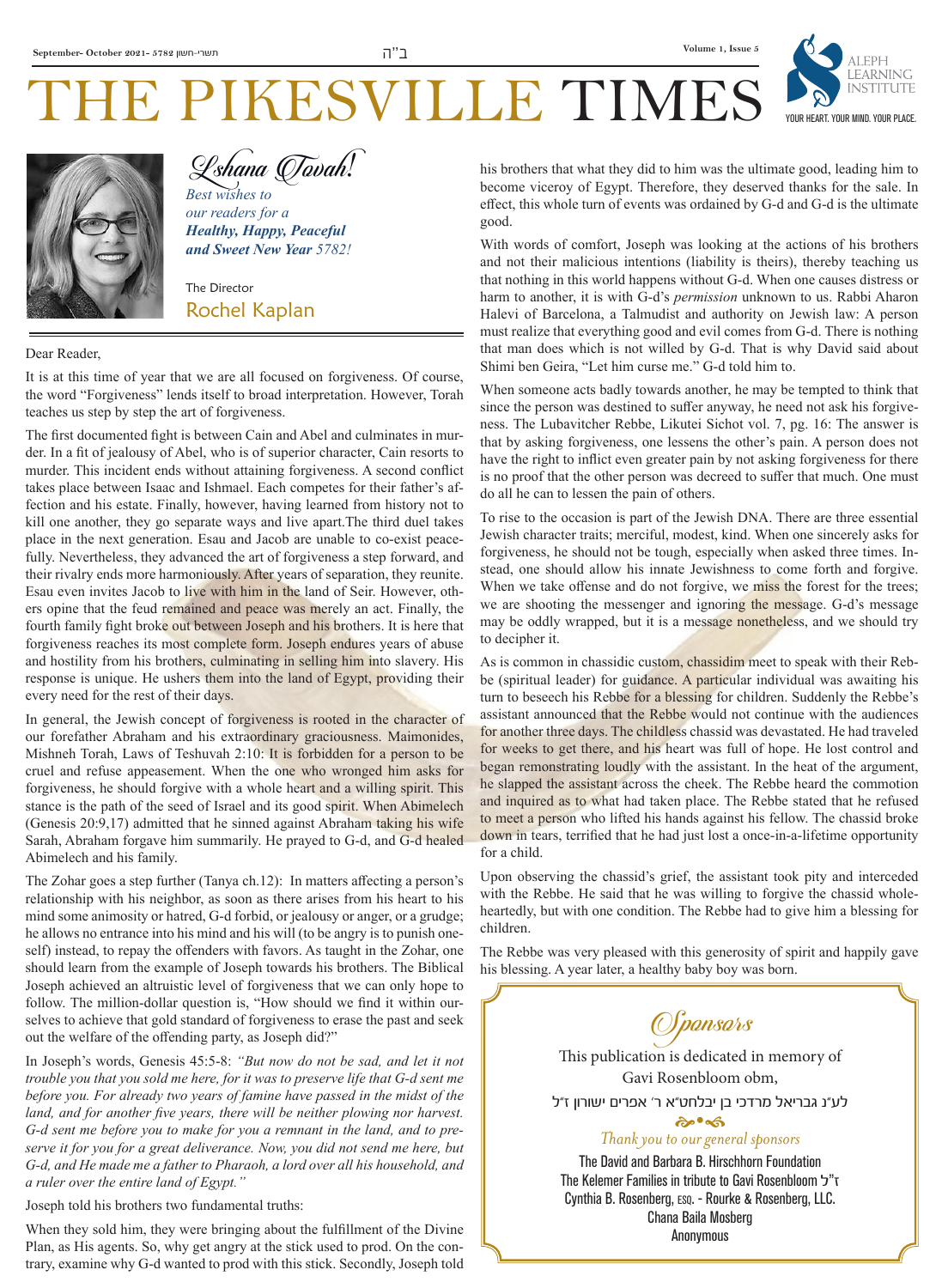

## HE PIKESVILLE TIME Lshana Tovah*!*

*Best wishes to our readers for a Healthy, Happy, Peaceful and Sweet New Year 5782!*

The Director Rochel Kaplan

Dear Reader,

It is at this time of year that we are all focused on forgiveness. Of course, the word "Forgiveness" lends itself to broad interpretation. However, Torah teaches us step by step the art of forgiveness.

The first documented fight is between Cain and Abel and culminates in murder. In a fit of jealousy of Abel, who is of superior character, Cain resorts to murder. This incident ends without attaining forgiveness. A second conflict takes place between Isaac and Ishmael. Each competes for their father's affection and his estate. Finally, however, having learned from history not to kill one another, they go separate ways and live apart.The third duel takes place in the next generation. Esau and Jacob are unable to co-exist peacefully. Nevertheless, they advanced the art of forgiveness a step forward, and their rivalry ends more harmoniously. After years of separation, they reunite. Esau even invites Jacob to live with him in the land of Seir. However, others opine that the feud remained and peace was merely an act. Finally, the fourth family fight broke out between Joseph and his brothers. It is here that forgiveness reaches its most complete form. Joseph endures years of abuse and hostility from his brothers, culminating in selling him into slavery. His response is unique. He ushers them into the land of Egypt, providing their every need for the rest of their days.

In general, the Jewish concept of forgiveness is rooted in the character of our forefather Abraham and his extraordinary graciousness. Maimonides, Mishneh Torah, Laws of Teshuvah 2:10: It is forbidden for a person to be cruel and refuse appeasement. When the one who wronged him asks for forgiveness, he should forgive with a whole heart and a willing spirit. This stance is the path of the seed of Israel and its good spirit. When Abimelech (Genesis 20:9,17) admitted that he sinned against Abraham taking his wife Sarah, Abraham forgave him summarily. He prayed to G-d, and G-d healed Abimelech and his family.

The Zohar goes a step further (Tanya ch.12): In matters affecting a person's relationship with his neighbor, as soon as there arises from his heart to his mind some animosity or hatred, G-d forbid, or jealousy or anger, or a grudge; he allows no entrance into his mind and his will (to be angry is to punish oneself) instead, to repay the offenders with favors. As taught in the Zohar, one should learn from the example of Joseph towards his brothers. The Biblical Joseph achieved an altruistic level of forgiveness that we can only hope to follow. The million-dollar question is, "How should we find it within ourselves to achieve that gold standard of forgiveness to erase the past and seek out the welfare of the offending party, as Joseph did?"

In Joseph's words, Genesis 45:5-8: *"But now do not be sad, and let it not trouble you that you sold me here, for it was to preserve life that G-d sent me before you. For already two years of famine have passed in the midst of the*  land, and for another five years, there will be neither plowing nor harvest. *G-d sent me before you to make for you a remnant in the land, and to preserve it for you for a great deliverance. Now, you did not send me here, but G-d, and He made me a father to Pharaoh, a lord over all his household, and a ruler over the entire land of Egypt."*

Joseph told his brothers two fundamental truths:

When they sold him, they were bringing about the fulfillment of the Divine Plan, as His agents. So, why get angry at the stick used to prod. On the contrary, examine why G-d wanted to prod with this stick. Secondly, Joseph told

his brothers that what they did to him was the ultimate good, leading him to become viceroy of Egypt. Therefore, they deserved thanks for the sale. In effect, this whole turn of events was ordained by G-d and G-d is the ultimate good.

With words of comfort, Joseph was looking at the actions of his brothers and not their malicious intentions (liability is theirs), thereby teaching us that nothing in this world happens without G-d. When one causes distress or harm to another, it is with G-d's *permission* unknown to us. Rabbi Aharon Halevi of Barcelona, a Talmudist and authority on Jewish law: A person must realize that everything good and evil comes from G-d. There is nothing that man does which is not willed by G-d. That is why David said about Shimi ben Geira, "Let him curse me." G-d told him to.

When someone acts badly towards another, he may be tempted to think that since the person was destined to suffer anyway, he need not ask his forgiveness. The Lubavitcher Rebbe, Likutei Sichot vol. 7, pg. 16: The answer is that by asking forgiveness, one lessens the other's pain. A person does not have the right to inflict even greater pain by not asking forgiveness for there is no proof that the other person was decreed to suffer that much. One must do all he can to lessen the pain of others.

To rise to the occasion is part of the Jewish DNA. There are three essential Jewish character traits; merciful, modest, kind. When one sincerely asks for forgiveness, he should not be tough, especially when asked three times. Instead, one should allow his innate Jewishness to come forth and forgive. When we take offense and do not forgive, we miss the forest for the trees; we are shooting the messenger and ignoring the message. G-d's message may be oddly wrapped, but it is a message nonetheless, and we should try to decipher it.

As is common in chassidic custom, chassidim meet to speak with their Rebbe (spiritual leader) for guidance. A particular individual was awaiting his turn to beseech his Rebbe for a blessing for children. Suddenly the Rebbe's assistant announced that the Rebbe would not continue with the audiences for another three days. The childless chassid was devastated. He had traveled for weeks to get there, and his heart was full of hope. He lost control and began remonstrating loudly with the assistant. In the heat of the argument, he slapped the assistant across the cheek. The Rebbe heard the commotion and inquired as to what had taken place. The Rebbe stated that he refused to meet a person who lifted his hands against his fellow. The chassid broke down in tears, terrified that he had just lost a once-in-a-lifetime opportunity for a child.

Upon observing the chassid's grief, the assistant took pity and interceded with the Rebbe. He said that he was willing to forgive the chassid wholeheartedly, but with one condition. The Rebbe had to give him a blessing for children.

The Rebbe was very pleased with this generosity of spirit and happily gave his blessing. A year later, a healthy baby boy was born.



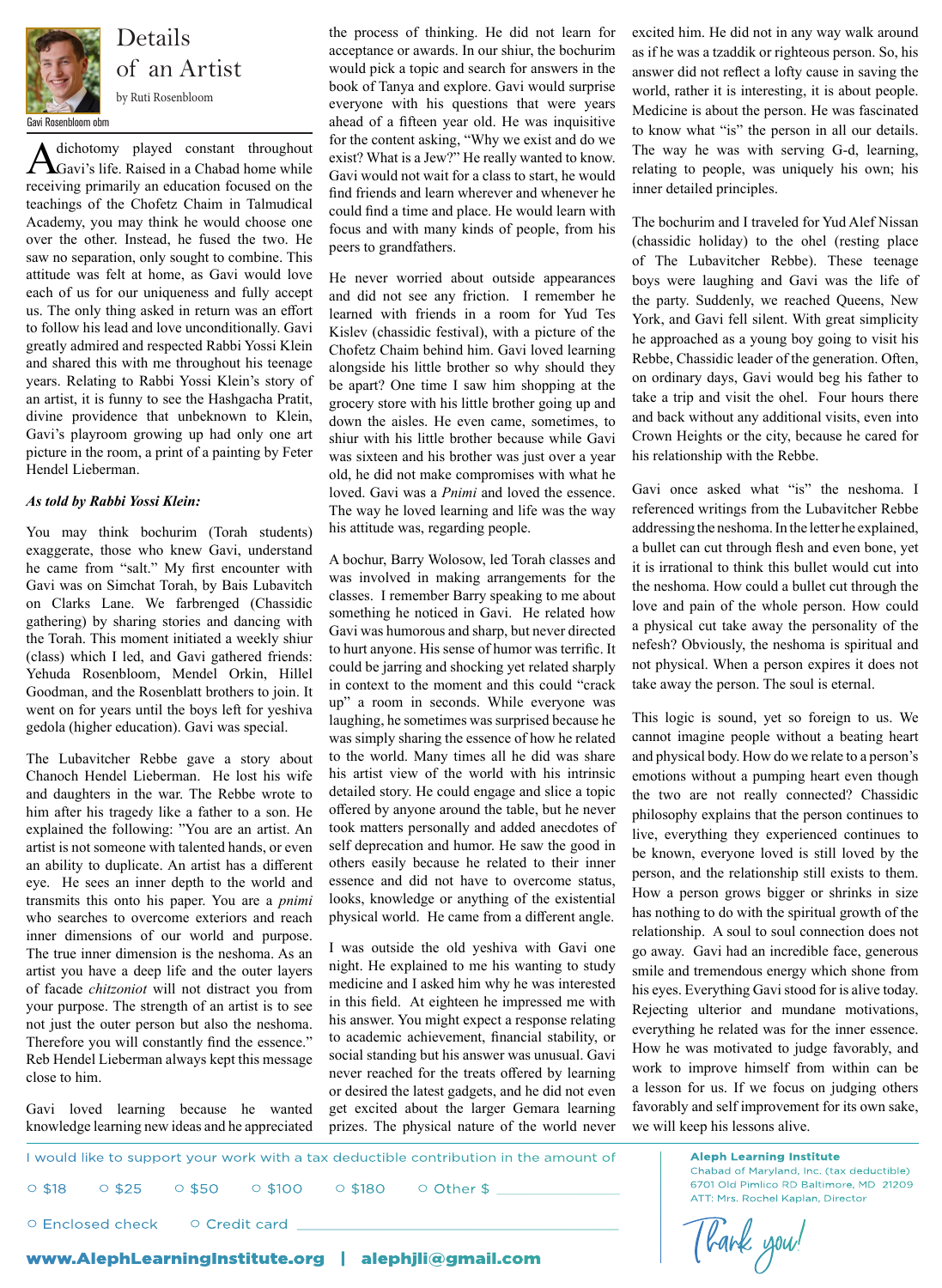

of an Artist

A dichotomy played constant throughout<br>
Gavi's life. Raised in a Chabad home while receiving primarily an education focused on the teachings of the Chofetz Chaim in Talmudical  $\frac{1}{2}$  and  $\frac{1}{2}$  denotes the  $\frac{1}{2}$  denotes one  $\frac{1}{2}$  could find a time and place. He would learn with  $\frac{1}{2}$  The bochurim and I traveled for Yud Ale over the other. Instead, he fused the two. He  $\frac{1}{\text{years}}$  been to grandfathers. saw no separation, only sought to combine. This attitude was felt at home, as Gavi would love each of us for our uniqueness and fully accept to follow his lead and love unconditionally. Gavi greatly admired and respected Rabbi Yossi Klein and shared this with me throughout his teenage years. Relating to Rabbi Yossi Klein's story of be apart? an artist, it is funny to see the Hashgacha Pratit, divine providence that unbeknown to Klein, Gavi's playroom growing up had only one art picture in the room, a print of a painting by Feter Hendel Lieberman. dichotomy played constant throughout

#### *As told by Rabbi Yossi Klein:*

You may think bochurim (Torah students) exaggerate, those who knew Gavi, understand he came from "salt." My first encounter with  $\frac{A}{2}$  bochui, barry wordsow, in Gavi was on Simchat Torah, by Bais Lubavitch on Clarks Lane. We farbrenged (Chassidic gathering) by sharing stories and dancing with the Torah. This moment initiated a weekly shiur (class) which I led, and Gavi gathered friends: (ciass) which I led, and Gavi gathered friends:<br>Yehuda Rosenbloom, Mendel Orkin, Hillel Goodman, and the Rosenblatt brothers to join. It went on for years until the boys left for yeshiva

The Lubavitcher Rebbe gave a story about Chanoch Hendel Lieberman. He lost his wife and daughters in the war. The Rebbe wrote to d him after his tragedy like a father to a son. He explained the following: "You are an artist. An eye. He sees an inner depth to the world and transmits this onto his paper. You are a *pnimi* who searches to overcome exteriors and reach inner dimensions of our world and purpose. The true inner dimension is the neshoma. As an artist you have a deep life and the outer layers of facade *chitzoniot* will not distract you from your purpose. The strength of an artist is to see Therefore you will constantly find the essence." Reb Hendel Lieberman always kept this message close to him. searches to overcome exteriors and reach physical world. He came from a different angle. has nothing to do with the spirit

Gavi loved learning because he wanted knowledge learning new ideas and he appreciated

the process of thinking. He did not learn for acceptance or awards. In our shiur, the bochurim would pick a topic and search for answers in the book of Tanya and explore. Gavi would surprise book of Tanya and explore. Gavi would surprise world, rather it is interesting, it<br>everyone with his questions that were years Medicine is about the person He ahead of a fifteen year old. He was inquisitive for the content asking, "Why we exist and do we exist? What is a Jew?" He really wanted to know. Gavi would not wait for a class to start, he would find friends and learn wherever and whenever he could find a time and place. He would learn with focus and with many kinds of people, from his peers to grandfathers.

cach of as for our amqueness and rany accept and did not see any friction. I remember he the party. Suddenly, we reached Que us. The only thing asked in return was an effort learned with friends in a room for Yud Tes Negla lde was felt at home, as Gavi would love He never worried about outside appearances boys were laughing and Gavi wa and did not see any friction. I remember he learned with friends in a room for Yud Tes llow his lead and love unconditionally. Gavi Kislev (chassidic festival), with a picture of the bigger and only only only only reduction of the approached as a young boy gottled and respected Rabbi Yossi Klein<br>Chofetz Chaim behind him. Gavi loved learning<br>Rebbe Chassidic leader of the get alongside his little brother so why should they be apart? One time I saw him shopping at the grocery store with his little brother going up and down the aisles. He even came, sometimes, to i's playroom growing up had only one art shiur with his little brother because while Gavi Crown Heights or the city, because l re in the room, a print of a painting by Feter was sixteen and his brother was just over a year different school old, he did not make compromises with what he **Rabbi Yossi Klein:** loved. Gavi was a *Pnimi* and loved the essence. Gavi once asked what "is" the negregional process of the system of the system of the system of the system of the system of the system of the system of t The way he loved learning and life was the way referenced writings from the nk bochurim (Torah students) his attitude was, regarding people. addressing the neshoma. In the shared this with the different institution alongside his little brother so why should they<br>s. Relating to Rabbi Yossi Klein's story of the apert? One time I saw him shopping at the son ordinary days, Gavi would beg his fat

gedola (higher education). Gavi was special. all laughing, he sometimes was surprised because he will be possible to sound, yet see artist is not someone with talented hands, or even self deprecation and humor. He saw the good in the known everyone loved is still love an ability to duplicate. An artist has a different others easily because he related to their inner<br>person, and the relationship still ex-<sup>2</sup> and consumerable contains A bochur, Barry Wolosow, led Torah classes and  $\frac{1}{2}$  it is irrational to think this ho **evaluate** with was involved in making arrangements for the on simenal foran, by Bais Lubaviten<br>2. June We ferbranged (Chassidic classes. I remember Barry speaking to me about the neshoma. How could a builet cut throw the metal is a physical cut take away the per-<br>sharing stories and dancing with  $\frac{1}{2}$  with  $\frac{1}{2}$  Gavi was humorous and sharp, but never directed moment initiated a weekly shiur<br>to hurt anyone. His sense of humor was terrific. It nefesh? Obviously, the nes If friends:  $\frac{d}{dt}$  could be jarring and shocking yet related sharply not physical. When a person in context to the moment and this could "crack dman, and the Rosenblatt brothers to join. It and concentrate the moment and the court of them that any dispersed in person in seconds.  $\frac{dP}{dt}$  and  $\frac{dP}{dt}$  is sometimes was surprised because he another. ecial. We share the property of the property of the property of the property was simply sharing the essence of how he related cannot imagine people without Lubavitcher Rebbe gave a story about to the world. Many times all he did was share and physical body. How do we relate to a noch Hendel Lieberman. He lost his wife his artist view of the world with his intrinsic emotions without a pumping heart even daughters in the war. The Rebbe wrote to detailed story. He could engage and slice a topic the two are not really connected offered by anyone around the table, but he never and the following: "You are an artist. An took matters personally and added anecdotes of live, everything they experient self deprecation and humor. He saw the good in others easily because he related to their inner essence and did not have to overcome status, In sees an inner depin to the world and essence and the not have to overcome status,<br>In How a person grows bigger or shri to a son. He one red by anyone around the table, but he never philosophy explains that the person continues to ands, or even seen depretation and harmon. The saw the good in  $\theta$  be known, everyone loved is still loved by the is a different official casily because in Telated to their lifter<br>that the person, and the relationship still exists to them. is world and essence and did not have to overcome status,<br>Large a primitively looks knowledge or anything of the existential. How a person grows bigger or shrinks in size  $\text{Hille} = \frac{1}{2} \int_{0}^{\infty} \frac{1}{2} \int_{0}^{\infty} \frac{1}{2} \int_{0}^{\infty} \frac{1}{2} \int_{0}^{\infty} \frac{1}{2} \int_{0}^{\infty} \frac{1}{2} \int_{0}^{\infty} \frac{1}{2} \int_{0}^{\infty} \frac{1}{2} \int_{0}^{\infty} \frac{1}{2} \int_{0}^{\infty} \frac{1}{2} \int_{0}^{\infty} \frac{1}{2} \int_{0}^{\infty} \frac{1}{2} \int_{0}^{\infty} \frac{1}{2} \int$ are a *phimi* rooms, knowledge or any ling or the existencial

not just the outer person but also the neshoma. It's answer. You might expect a response relating everything he related was for the inr  $\frac{1}{100}$  and  $\frac{1}{100}$  was outside the old yeshiva with Gavi one go away. Gavi had an include the mital to love in the mital to lower and  $\frac{1}{100}$ outer layers in each the explained to me his wanting to study smile and tremendous energy example and the outer layers and the explained to the meaning to start, similar and tremendous energy which she<br>and chitzonique will not distract you from medicine and I asked him why he was interested his eyes. Everything purpose. The strength of an artist is to see in this field. At eighteen he impressed me with  $\frac{mSycs. Evety during Gav1300d to 1s}{Rejection$  undane his answer. You might expect a response relating to academic achievement, financial stability, or efore you will constantly find the essence. We according but his answer was unusual. Gavi How he was motivated to ju example in the treats offered by learning work to improve himself<br>example in the treats offered by learning work to improve himself the cause of the actual speech of the actual speech of the speech of the actual speech of the actual speech that the property a lesson for us. If we he wanted get excited about the larger Gemara learning favorably are prizes. The physical nature of the world never the neshoma. This dilated was for the inner essence.  $\frac{1}{100}$  essence. We acceler the concentration, matricial stability, or How he was motivated to judge favorably, and social standing but his answer was unusual  $\frac{1}{100}$  How he was motivated to judge favorably, and

excited him. He did not in any way walk around as if he was a tzaddik or righteous person. So, his answer did not reflect a lofty cause in saving the world, rather it is interesting, it is about people. Medicine is about the person. He was fascinated to know what "is" the person in all our details. The way he was with serving G-d, learning, relating to people, was uniquely his own; his inner detailed principles.

The bochurim and I traveled for Yud Alef Nissan (chassidic holiday) to the ohel (resting place of The Lubavitcher Rebbe). These teenage boys were laughing and Gavi was the life of the party. Suddenly, we reached Queens, New York, and Gavi fell silent. With great simplicity he approached as a young boy going to visit his Rebbe, Chassidic leader of the generation. Often, take a trip and visit the ohel. Four hours there and back without any additional visits, even into Crown Heights or the city, because he cared for his relationship with the Rebbe.

Gavi once asked what "is" the neshoma. I referenced writings from the Lubavitcher Rebbe addressing the neshoma. In the letter he explained, see who knew Gavi, understand it is irrational to think this bullet would cut into the neshoma. How could a bullet cut through the love and pain of the whole person. How could a physical cut take away the personality of the nefesh? Obviously, the neshoma is spiritual and not physical. When a person expires it does not take away the person. The soul is eternal.

> This logic is sound, yet so foreign to us. We cannot imagine people without a beating heart and physical body. How do we relate to a person's emotions without a pumping heart even though the two are not really connected? Chassidic live, everything they experienced continues to has nothing to do with the spiritual growth of the relationship. A soul to soul connection does not relationship those good to soul connection does not relationship. A soul to soul connection does not go away. Gavi had an incredible face, generous smile and tremendous energy which shone from his eyes. Everything Gavi stood for is alive today. Rejecting ulterior and mundane motivations, work to improve himself from within can be a lesson for us. If we focus on judging others favorably and self improvement for its own sake, we will keep his lessons alive.

I would like to support your work with a tax deductible contribution in the amount of I would like to support your work with a tax deductible contribution in the amount of ○ \$18 ○ \$25 ○ \$50 ○ \$100 ○ \$180 ○ Other \$ \_\_\_\_\_\_\_\_\_\_\_\_\_\_\_\_\_\_\_\_\_\_\_\_\_\_\_ ○ Enclosed check www.AlephLearningInstitute.org | alephjli@gmail.com  $\circ$  \$50  $\circ$  \$100  $\circ$  \$180  $\circ$  Other \$ ○ Credit card

**Aleph Learning Institute Chabad of Maryland, Inc. (tax deductible)** 6701 Old Pimlico RD Baltimore, MD 21209 Chabad of Maryland, Inc. (tax deductible) 6701 Old Pimlico RD Baltimore, MD 21209 ATT: Mrs. Rochel Kaplan, Director ATT: Mrs. Rochel Kaplan, Director

Tlank you!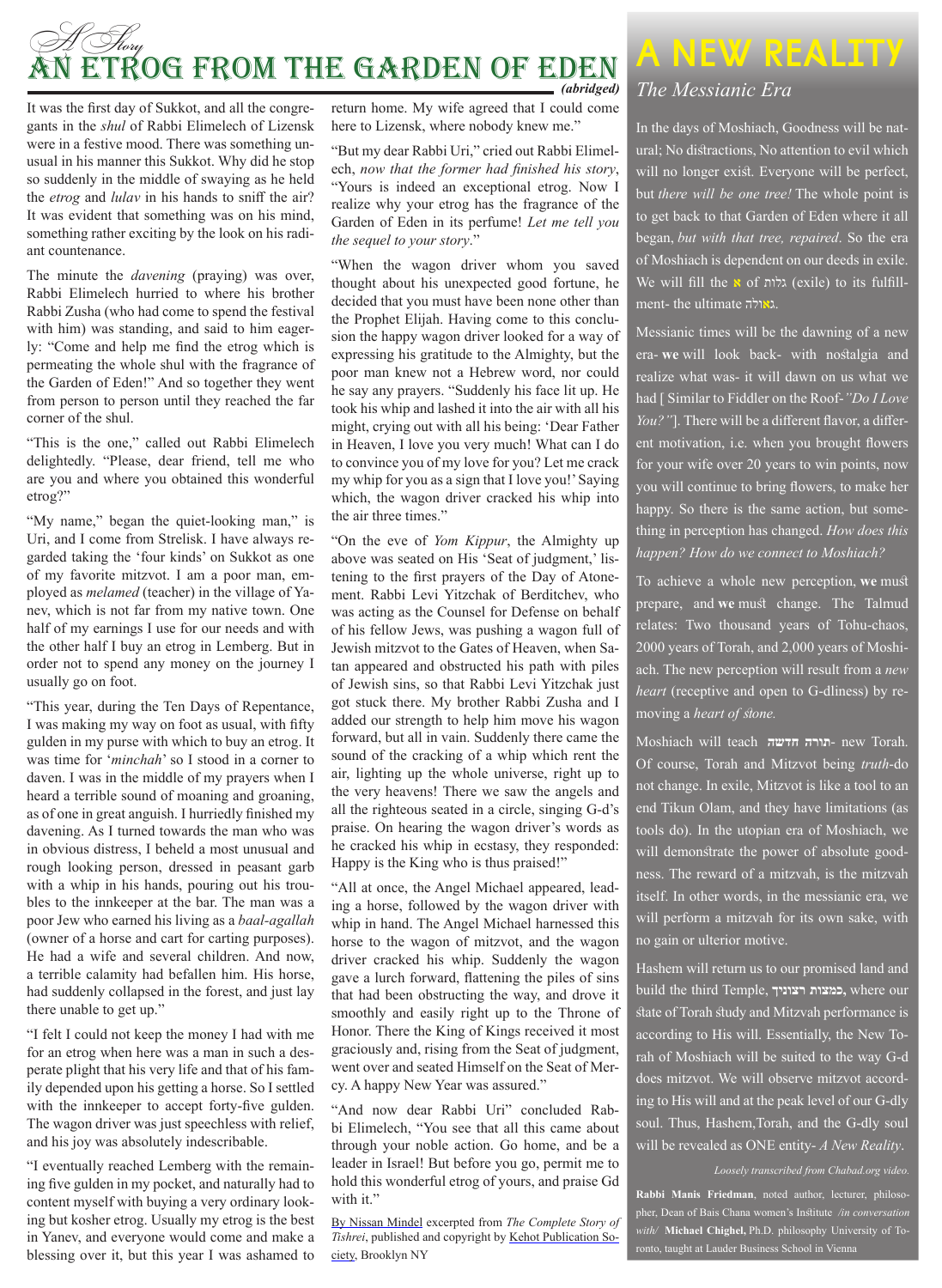## A *Story* An Etrog from the Garden of Eden *(abridged)*

It was the first day of Sukkot, and all the congregants in the *shul* of Rabbi Elimelech of Lizensk were in a festive mood. There was something unusual in his manner this Sukkot. Why did he stop so suddenly in the middle of swaying as he held the *etrog* and *lulav* in his hands to sniff the air? It was evident that something was on his mind, something rather exciting by the look on his radiant countenance.

The minute the *davening* (praying) was over, Rabbi Elimelech hurried to where his brother Rabbi Zusha (who had come to spend the festival with him) was standing, and said to him eagerly: "Come and help me find the etrog which is permeating the whole shul with the fragrance of the Garden of Eden!" And so together they went from person to person until they reached the far corner of the shul.

"This is the one," called out Rabbi Elimelech delightedly. "Please, dear friend, tell me who are you and where you obtained this wonderful etrog?"

"My name," began the quiet-looking man," is Uri, and I come from Strelisk. I have always regarded taking the 'four kinds' on Sukkot as one of my favorite mitzvot. I am a poor man, employed as *melamed* (teacher) in the village of Yanev, which is not far from my native town. One half of my earnings I use for our needs and with the other half I buy an etrog in Lemberg. But in order not to spend any money on the journey I usually go on foot.

"This year, during the Ten Days of Repentance, I was making my way on foot as usual, with fifty gulden in my purse with which to buy an etrog. It was time for '*minchah*' so I stood in a corner to daven. I was in the middle of my prayers when I heard a terrible sound of moaning and groaning, as of one in great anguish. I hurriedly finished my davening. As I turned towards the man who was in obvious distress, I beheld a most unusual and rough looking person, dressed in peasant garb with a whip in his hands, pouring out his troubles to the innkeeper at the bar. The man was a poor Jew who earned his living as a *baal-agallah* (owner of a horse and cart for carting purposes). He had a wife and several children. And now, a terrible calamity had befallen him. His horse, had suddenly collapsed in the forest, and just lay there unable to get up."

"I felt I could not keep the money I had with me for an etrog when here was a man in such a desperate plight that his very life and that of his family depended upon his getting a horse. So I settled with the innkeeper to accept forty-five gulden. The wagon driver was just speechless with relief, and his joy was absolutely indescribable.

"I eventually reached Lemberg with the remaining five gulden in my pocket, and naturally had to content myself with buying a very ordinary looking but kosher etrog. Usually my etrog is the best in Yanev, and everyone would come and make a blessing over it, but this year I was ashamed to

return home. My wife agreed that I could come here to Lizensk, where nobody knew me."

"But my dear Rabbi Uri," cried out Rabbi Elimelech, *now that the former had finished his story*, "Yours is indeed an exceptional etrog. Now I realize why your etrog has the fragrance of the Garden of Eden in its perfume! *Let me tell you the sequel to your story*."

"When the wagon driver whom you saved thought about his unexpected good fortune, he decided that you must have been none other than the Prophet Elijah. Having come to this conclusion the happy wagon driver looked for a way of expressing his gratitude to the Almighty, but the poor man knew not a Hebrew word, nor could he say any prayers. "Suddenly his face lit up. He took his whip and lashed it into the air with all his might, crying out with all his being: 'Dear Father in Heaven, I love you very much! What can I do to convince you of my love for you? Let me crack my whip for you as a sign that I love you!' Saying which, the wagon driver cracked his whip into the air three times."

"On the eve of *Yom Kippur*, the Almighty up above was seated on His 'Seat of judgment,' listening to the first prayers of the Day of Atonement. Rabbi Levi Yitzchak of Berditchev, who was acting as the Counsel for Defense on behalf of his fellow Jews, was pushing a wagon full of Jewish mitzvot to the Gates of Heaven, when Satan appeared and obstructed his path with piles of Jewish sins, so that Rabbi Levi Yitzchak just got stuck there. My brother Rabbi Zusha and I added our strength to help him move his wagon forward, but all in vain. Suddenly there came the sound of the cracking of a whip which rent the air, lighting up the whole universe, right up to the very heavens! There we saw the angels and all the righteous seated in a circle, singing G-d's praise. On hearing the wagon driver's words as he cracked his whip in ecstasy, they responded: Happy is the King who is thus praised!"

"All at once, the Angel Michael appeared, leading a horse, followed by the wagon driver with whip in hand. The Angel Michael harnessed this horse to the wagon of mitzvot, and the wagon driver cracked his whip. Suddenly the wagon gave a lurch forward, flattening the piles of sins that had been obstructing the way, and drove it smoothly and easily right up to the Throne of Honor. There the King of Kings received it most graciously and, rising from the Seat of judgment, went over and seated Himself on the Seat of Mercy. A happy New Year was assured."

"And now dear Rabbi Uri" concluded Rabbi Elimelech, "You see that all this came about through your noble action. Go home, and be a leader in Israel! But before you go, permit me to hold this wonderful etrog of yours, and praise Gd with it."

By Nissan Mindel excerpted from *The Complete Story of Tishrei*, published and copyright by Kehot Publication Society, Brooklyn NY

## **A New Reality**

#### *The Messianic Era*

In the days of Moshiach, Goodness will be natural; No distractions, No attention to evil which will no longer exist. Everyone will be perfect, but *there will be one tree!* The whole point is to get back to that Garden of Eden where it all began, *but with that tree, repaired*. So the era of Moshiach is dependent on our deeds in exile. We will fill the **א** of גלות) exile) to its fulfillment- the ultimate ג**א**ולה.

Messianic times will be the dawning of a new era- **we** will look back- with nostalgia and realize what was- it will dawn on us what we had [ Similar to Fiddler on the Roof-*"Do I Love You?"*]. There will be a different flavor, a different motivation, i.e. when you brought flowers for your wife over 20 years to win points, now you will continue to bring flowers, to make her happy. So there is the same action, but something in perception has changed. *How does this happen? How do we connect to Moshiach?*

To achieve a whole new perception, **we** must prepare, and **we** must change. The Talmud relates: Two thousand years of Tohu-chaos, 2000 years of Torah, and 2,000 years of Moshiach. The new perception will result from a *new heart* (receptive and open to G-dliness) by removing a *heart of stone.*

Moshiach will teach **חדשה תורה**- new Torah. Of course, Torah and Mitzvot being *truth*-do not change. In exile, Mitzvot is like a tool to an end Tikun Olam, and they have limitations (as tools do). In the utopian era of Moshiach, we will demonstrate the power of absolute goodness. The reward of a mitzvah, is the mitzvah itself. In other words, in the messianic era, we will perform a mitzvah for its own sake, with no gain or ulterior motive.

Hashem will return us to our promised land and build the third Temple, **רצוניך כמצות,** where our state of Torah study and Mitzvah performance is according to His will. Essentially, the New Torah of Moshiach will be suited to the way G-d does mitzvot. We will observe mitzvot according to His will and at the peak level of our G-dly soul. Thus, Hashem,Torah, and the G-dly soul will be revealed as ONE entity- *A New Reality*.

*Loosely transcribed from Chabad.org video.*

**Rabbi Manis Friedman**, noted author, lecturer, philosopher, Dean of Bais Chana women's Institute */in conversation with/* **Michael Chighel,** Ph.D. philosophy University of Toronto, taught at Lauder Business School in Vienna